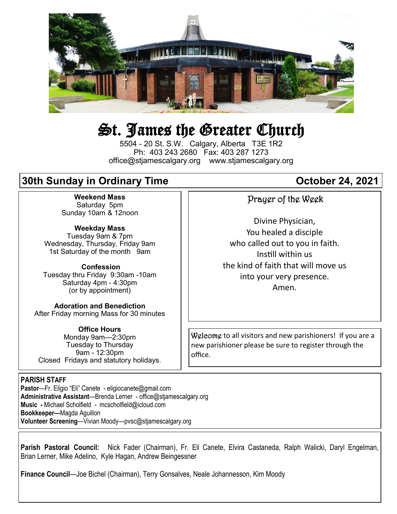

# St. James the Greater Church

5504 - 20 St. S.W. Calgary, Alberta T3E 1R2 Ph: 403 243 2680 Fax: 403 287 1273 office@stjamescalgary.org www.stjamescalgary.org

## **30th Sunday in Ordinary Time**  Contact Common Corporation 24, 2021

**Weekend Mass** Saturday 5pm Sunday 10am & 12noon

**Weekday Mass** Tuesday 9am & 7pm Wednesday, Thursday, Friday 9am 1st Saturday of the month 9am

**Confession** Tuesday thru Friday 9:30am -10am Saturday 4pm - 4:30pm (or by appointment)

**Adoration and Benediction**  After Friday morning Mass for 30 minutes

**Office Hours**  Monday 9am—2:30pm Tuesday to Thursday 9am - 12:30pm Closed Fridays and statutory holidays.

#### **PARISH STAFF**

**Pastor**—Fr. Eligio "Eli" Canete - eligiocanete@gmail.com **Administrative Assistant**—Brenda Lerner - office@stjamescalgary.org **Music -** Michael Scholfield - mcscholfield@icloud.com **Bookkeeper—**Magda Aguillon **Volunteer Screening**—Vivian Moody—pvsc@stjamescalgary.org

### Prayer of the Week

Divine Physician, You healed a disciple who called out to you in faith. Instill within us the kind of faith that will move us into your very presence. Amen.

Welcome to all visitors and new parishioners! If you are a new parishioner please be sure to register through the office.

**Parish Pastoral Council:** Nick Fader (Chairman), Fr. Eli Canete, Elvira Castaneda, Ralph Walicki, Daryl Engelman, Brian Lerner, Mike Adelino, Kyle Hagan, Andrew Beingessner

**Finance Council**—Joe Bichel (Chairman), Terry Gonsalves, Neale Johannesson, Kim Moody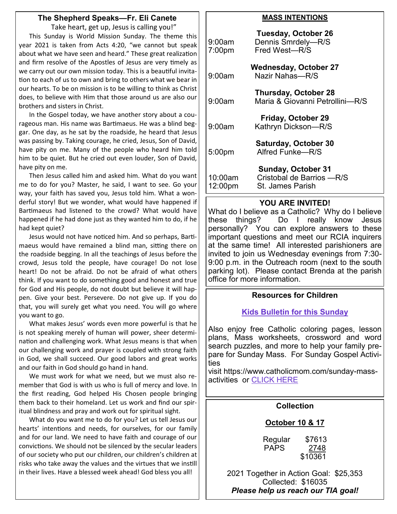#### **The Shepherd Speaks—Fr. Eli Canete**

Take heart, get up, Jesus is calling you!" This Sunday is World Mission Sunday. The theme this year 2021 is taken from Acts 4:20, "we cannot but speak about what we have seen and heard." These great realization and firm resolve of the Apostles of Jesus are very timely as we carry out our own mission today. This is a beautiful invitation to each of us to own and bring to others what we bear in our hearts. To be on mission is to be willing to think as Christ does, to believe with Him that those around us are also our brothers and sisters in Christ.

In the Gospel today, we have another story about a courageous man. His name was Bartimaeus. He was a blind beggar. One day, as he sat by the roadside, he heard that Jesus was passing by. Taking courage, he cried, Jesus, Son of David, have pity on me. Many of the people who heard him told him to be quiet. But he cried out even louder, Son of David, have pity on me.

Then Jesus called him and asked him. What do you want me to do for you? Master, he said, I want to see. Go your way, your faith has saved you, Jesus told him. What a wonderful story! But we wonder, what would have happened if Bartimaeus had listened to the crowd? What would have happened if he had done just as they wanted him to do, if he had kept quiet?

Jesus would not have noticed him. And so perhaps, Bartimaeus would have remained a blind man, sitting there on the roadside begging. In all the teachings of Jesus before the crowd, Jesus told the people, have courage! Do not lose heart! Do not be afraid. Do not be afraid of what others think. If you want to do something good and honest and true for God and His people, do not doubt but believe it will happen. Give your best. Persevere. Do not give up. If you do that, you will surely get what you need. You will go where you want to go.

What makes Jesus' words even more powerful is that he is not speaking merely of human will power, sheer determination and challenging work. What Jesus means is that when our challenging work and prayer is coupled with strong faith in God, we shall succeed. Our good labors and great works and our faith in God should go hand in hand.

We must work for what we need, but we must also remember that God is with us who is full of mercy and love. In the first reading, God helped His Chosen people bringing them back to their homeland. Let us work and find our spiritual blindness and pray and work out for spiritual sight.

What do you want me to do for you? Let us tell Jesus our hearts' intentions and needs, for ourselves, for our family and for our land. We need to have faith and courage of our convictions. We should not be silenced by the secular leaders of our society who put our children, our children's children at risks who take away the values and the virtues that we instill in their lives. Have a blessed week ahead! God bless you all!

#### **MASS INTENTIONS**

| 9:00am<br>7:00 <sub>pm</sub> | <b>Tuesday, October 26</b><br>Dennis Smrdely-R/S<br>Fred West-R/S           |
|------------------------------|-----------------------------------------------------------------------------|
| 9:00am                       | <b>Wednesday, October 27</b><br>Nazir Nahas-R/S                             |
| 9:00am                       | <b>Thursday, October 28</b><br>Maria & Giovanni Petrollini-R/S              |
| 9:00am                       | <b>Friday, October 29</b><br>Kathryn Dickson-R/S                            |
| 5:00pm                       | <b>Saturday, October 30</b><br>Alfred Funke-R/S                             |
| 10:00am<br>12:00pm           | <b>Sunday, October 31</b><br>Cristobal de Barrios - R/S<br>St. James Parish |

#### **YOU ARE INVITED!**

What do I believe as a Catholic? Why do I believe these things? Do I really know Jesus personally? You can explore answers to these important questions and meet our RCIA inquirers at the same time! All interested parishioners are invited to join us Wednesday evenings from 7:30- 9:00 p.m. in the Outreach room (next to the south parking lot). Please contact Brenda at the parish office for more information.

#### **Resources for Children**

#### **[Kids Bulletin for this Sunday](https://thekidsbulletin.files.wordpress.com/2021/09/the-kids-bulletin-30th-sunday.pdf)**

Also enjoy free Catholic coloring pages, lesson plans, Mass worksheets, crossword and word search puzzles, and more to help your family prepare for Sunday Mass. For Sunday Gospel Activities

visit https://www.catholicmom.com/sunday-massactivities or [CLICK HERE](https://www.catholicmom.com/sunday-mass-activities)

#### **Collection**

#### **October 10 & 17**

| Regular     | \$7613  |
|-------------|---------|
| <b>PAPS</b> | 2748    |
|             | \$10361 |

2021 Together in Action Goal: \$25,353 Collected: \$16035 *Please help us reach our TIA goal!*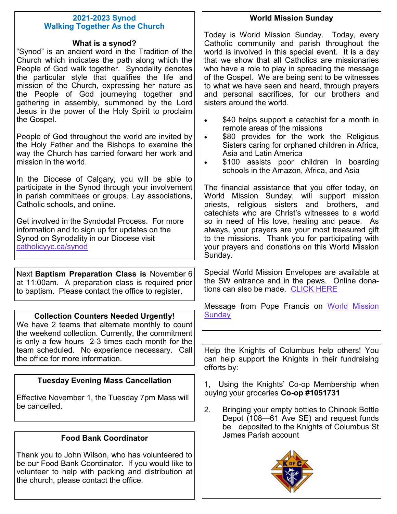#### **2021-2023 Synod Walking Together As the Church**

#### **What is a synod?**

"Synod" is an ancient word in the Tradition of the Church which indicates the path along which the People of God walk together. Synodality denotes the particular style that qualifies the life and mission of the Church, expressing her nature as the People of God journeying together and gathering in assembly, summoned by the Lord Jesus in the power of the Holy Spirit to proclaim the Gospel.

People of God throughout the world are invited by the Holy Father and the Bishops to examine the way the Church has carried forward her work and mission in the world.

In the Diocese of Calgary, you will be able to participate in the Synod through your involvement in parish committees or groups. Lay associations, Catholic schools, and online.

Get involved in the Syndodal Process. For more information and to sign up for updates on the Synod on Synodality in our Diocese visit [catholicyyc.ca/synod](https://www.catholicyyc.ca/synod.html)

Next **Baptism Preparation Class is** November 6 at 11:00am. A preparation class is required prior to baptism. Please contact the office to register.

#### **Collection Counters Needed Urgently!**

We have 2 teams that alternate monthly to count the weekend collection. Currently, the commitment is only a few hours 2-3 times each month for the team scheduled. No experience necessary. Call the office for more information.

#### **Tuesday Evening Mass Cancellation**

Effective November 1, the Tuesday 7pm Mass will be cancelled.

#### **Food Bank Coordinator**

Thank you to John Wilson, who has volunteered to be our Food Bank Coordinator. If you would like to volunteer to help with packing and distribution at the church, please contact the office.

Today is World Mission Sunday. Today, every Catholic community and parish throughout the world is involved in this special event. It is a day that we show that all Catholics are missionaries who have a role to play in spreading the message of the Gospel. We are being sent to be witnesses to what we have seen and heard, through prayers and personal sacrifices, for our brothers and sisters around the world.

- \$40 helps support a catechist for a month in remote areas of the missions
- \$80 provides for the work the Religious Sisters caring for orphaned children in Africa, Asia and Latin America
- \$100 assists poor children in boarding schools in the Amazon, Africa, and Asia

The financial assistance that you offer today, on World Mission Sunday, will support mission priests, religious sisters and brothers, and catechists who are Christ's witnesses to a world so in need of His love, healing and peace. As always, your prayers are your most treasured gift to the missions. Thank you for participating with your prayers and donations on this World Mission Sunday.

Special World Mission Envelopes are available at the SW entrance and in the pews. Online donations can also be made. [CLICK HERE](https://www.catholicyyc.ca/worldmissionsunday.html)

Message from Pope Francis on [World Mission](https://www.missionsocieties.ca/propagation-of-the-faith-spf/world-mission-sunday/message-from-pope-francis-for-world-mission-sunday-2021/)  **Sundav** 

Help the Knights of Columbus help others! You can help support the Knights in their fundraising efforts by:

1, Using the Knights' Co-op Membership when buying your groceries **Co-op #1051731**

2. Bringing your empty bottles to Chinook Bottle Depot (108—61 Ave SE) and request funds be deposited to the Knights of Columbus St James Parish account



#### **World Mission Sunday**